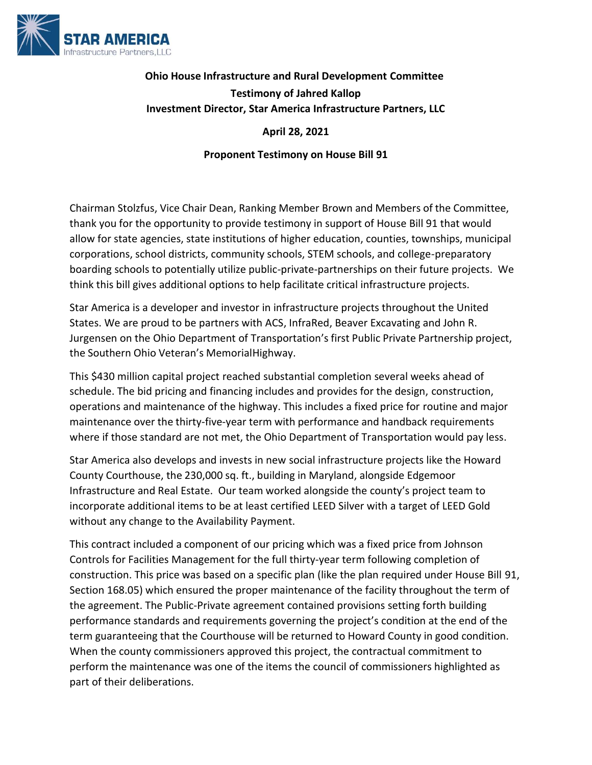

## **Ohio House Infrastructure and Rural Development Committee Testimony of Jahred Kallop Investment Director, Star America Infrastructure Partners, LLC**

**April 28, 2021**

**Proponent Testimony on House Bill 91**

Chairman Stolzfus, Vice Chair Dean, Ranking Member Brown and Members of the Committee, thank you for the opportunity to provide testimony in support of House Bill 91 that would allow for state agencies, state institutions of higher education, counties, townships, municipal corporations, school districts, community schools, STEM schools, and college-preparatory boarding schools to potentially utilize public-private-partnerships on their future projects. We think this bill gives additional options to help facilitate critical infrastructure projects.

Star America is a developer and investor in infrastructure projects throughout the United States. We are proud to be partners with ACS, InfraRed, Beaver Excavating and John R. Jurgensen on the Ohio Department of Transportation's first Public Private Partnership project, the Southern Ohio Veteran's MemorialHighway.

This \$430 million capital project reached substantial completion several weeks ahead of schedule. The bid pricing and financing includes and provides for the design, construction, operations and maintenance of the highway. This includes a fixed price for routine and major maintenance over the thirty‐five‐year term with performance and handback requirements where if those standard are not met, the Ohio Department of Transportation would pay less.

Star America also develops and invests in new social infrastructure projects like the Howard County Courthouse, the 230,000 sq. ft., building in Maryland, alongside Edgemoor Infrastructure and Real Estate. Our team worked alongside the county's project team to incorporate additional items to be at least certified LEED Silver with a target of LEED Gold without any change to the Availability Payment.

This contract included a component of our pricing which was a fixed price from Johnson Controls for Facilities Management for the full thirty‐year term following completion of construction. This price was based on a specific plan (like the plan required under House Bill 91, Section 168.05) which ensured the proper maintenance of the facility throughout the term of the agreement. The Public‐Private agreement contained provisions setting forth building performance standards and requirements governing the project's condition at the end of the term guaranteeing that the Courthouse will be returned to Howard County in good condition. When the county commissioners approved this project, the contractual commitment to perform the maintenance was one of the items the council of commissioners highlighted as part of their deliberations.